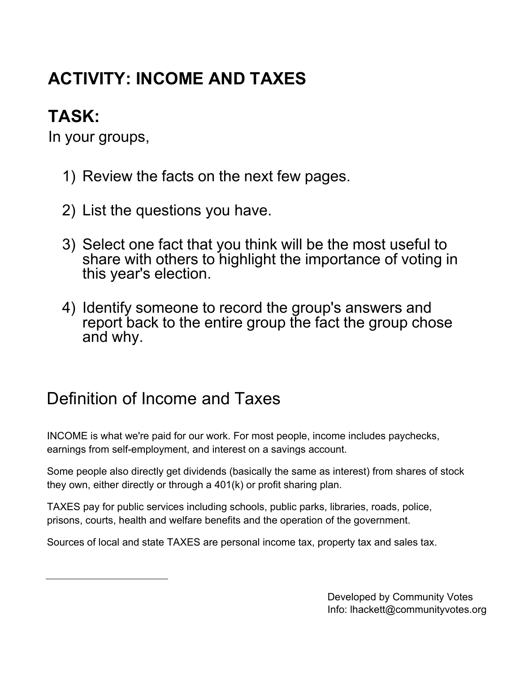# **ACTIVITY: INCOME AND TAXES**

## **TASK:**

In your groups,

- 1) Review the facts on the next few pages.
- 2) List the questions you have.
- 3) Select one fact that you think will be the most useful to share with others to highlight the importance of voting in this year's election.
- 4) Identify someone to record the group's answers and report back to the entire group the fact the group chose and why.

### Definition of Income and Taxes

INCOME is what we're paid for our work. For most people, income includes paychecks, earnings from self-employment, and interest on a savings account.

Some people also directly get dividends (basically the same as interest) from shares of stock they own, either directly or through a 401(k) or profit sharing plan.

TAXES pay for public services including schools, public parks, libraries, roads, police, prisons, courts, health and welfare benefits and the operation of the government.

Sources of local and state TAXES are personal income tax, property tax and sales tax.

Developed by Community Votes Info: lhackett@communityvotes.org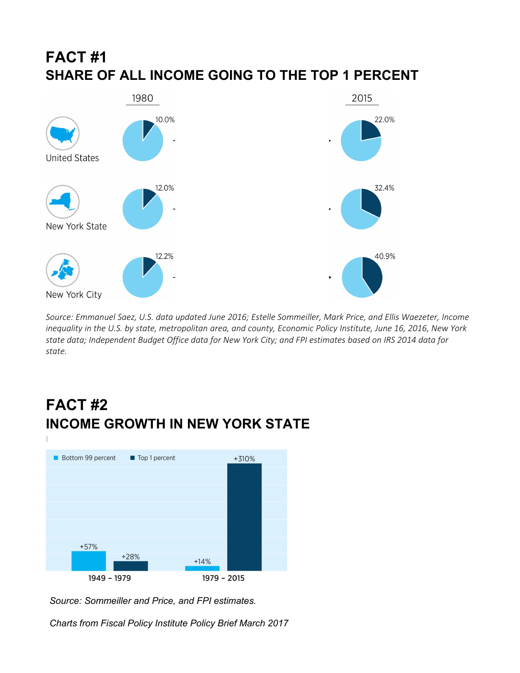### **FACT #1 SHARE OF ALL INCOME GOING TO THE TOP 1 PERCENT**



Source: Emmanuel Saez, U.S. data updated June 2016; Estelle Sommeiller, Mark Price, and Ellis Waezeter, Income inequality in the U.S. by state, metropolitan area, and county, Economic Policy Institute, June 16, 2016, New York state data; Independent Budget Office data for New York City; and FPI estimates based on IRS 2014 data for state.

### **FACT #2 INCOME GROWTH IN NEW YORK STATE**

![](_page_1_Figure_4.jpeg)

*Source: Sommeiller and Price, and FPI estimates.* 

*Charts from Fiscal Policy Institute Policy Brief March 2017*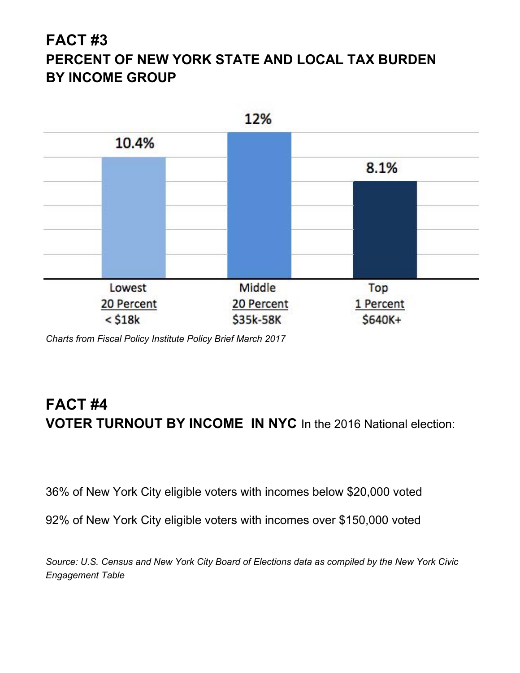#### **FACT #3 PERCENT OF NEW YORK STATE AND LOCAL TAX BURDEN BY INCOME GROUP**

![](_page_2_Figure_1.jpeg)

*Charts from Fiscal Policy Institute Policy Brief March 2017*

### **FACT #4 VOTER TURNOUT BY INCOME IN NYC** In the 2016 National election:

36% of New York City eligible voters with incomes below \$20,000 voted

92% of New York City eligible voters with incomes over \$150,000 voted

*Source: U.S. Census and New York City Board of Elections data as compiled by the New York Civic Engagement Table*